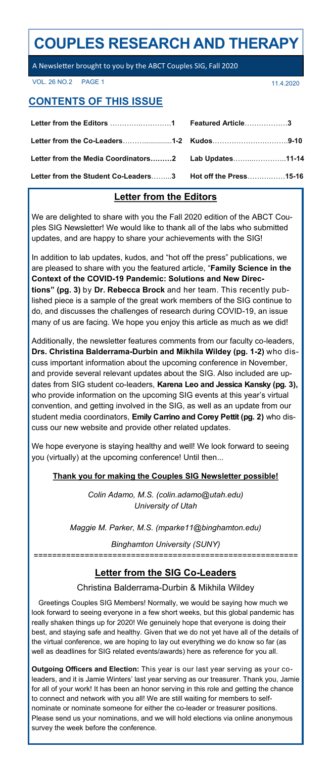# **COUPLES RESEARCH AND THERAPY**

A Newsletter brought to you by the ABCT Couples SIG, Fall 2020

VOL. 26 NO.2 PAGE 1 20020

# **CONTENTS OF THIS ISSUE**

| Letter from the Media Coordinators2 Lab Updates11-14       |  |
|------------------------------------------------------------|--|
| Letter from the Student Co-Leaders3 Hot off the Press15-16 |  |

# **Letter from the Editors**

We are delighted to share with you the Fall 2020 edition of the ABCT Couples SIG Newsletter! We would like to thank all of the labs who submitted updates, and are happy to share your achievements with the SIG!

In addition to lab updates, kudos, and "hot off the press" publications, we are pleased to share with you the featured article, "**Family Science in the Context of the COVID-19 Pandemic: Solutions and New Directions" (pg. 3)** by **Dr. Rebecca Brock** and her team. This recently published piece is a sample of the great work members of the SIG continue to do, and discusses the challenges of research during COVID-19, an issue many of us are facing. We hope you enjoy this article as much as we did!

Additionally, the newsletter features comments from our faculty co-leaders, **Drs. Christina Balderrama-Durbin and Mikhila Wildey (pg. 1-2)** who discuss important information about the upcoming conference in November, and provide several relevant updates about the SIG. Also included are updates from SIG student co-leaders, **Karena Leo and Jessica Kansky (pg. 3),**  who provide information on the upcoming SIG events at this year's virtual convention, and getting involved in the SIG, as well as an update from our student media coordinators, **Emily Carrino and Corey Pettit (pg. 2)** who discuss our new website and provide other related updates.

We hope everyone is staying healthy and well! We look forward to seeing you (virtually) at the upcoming conference! Until then...

### **Thank you for making the Couples SIG Newsletter possible!**

*Colin Adamo, M.S. (colin.adamo@utah.edu) University of Utah*

*Maggie M. Parker, M.S. (mparke11@binghamton.edu)*

*Binghamton University (SUNY) =========================================================*

# **Letter from the SIG Co-Leaders**

Christina Balderrama-Durbin & Mikhila Wildey

Greetings Couples SIG Members! Normally, we would be saying how much we look forward to seeing everyone in a few short weeks, but this global pandemic has really shaken things up for 2020! We genuinely hope that everyone is doing their best, and staying safe and healthy. Given that we do not yet have all of the details of the virtual conference, we are hoping to lay out everything we do know so far (as well as deadlines for SIG related events/awards) here as reference for you all.

**Outgoing Officers and Election:** This year is our last year serving as your coleaders, and it is Jamie Winters' last year serving as our treasurer. Thank you, Jamie for all of your work! It has been an honor serving in this role and getting the chance to connect and network with you all! We are still waiting for members to selfnominate or nominate someone for either the co-leader or treasurer positions. Please send us your nominations, and we will hold elections via online anonymous survey the week before the conference.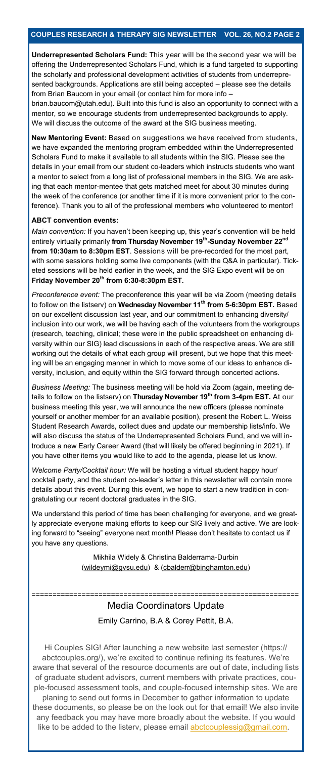**Underrepresented Scholars Fund:** This year will be the second year we will be offering the Underrepresented Scholars Fund, which is a fund targeted to supporting the scholarly and professional development activities of students from underrepresented backgrounds. Applications are still being accepted – please see the details from Brian Baucom in your email (or contact him for more info –

brian.baucom@utah.edu). Built into this fund is also an opportunity to connect with a mentor, so we encourage students from underrepresented backgrounds to apply. We will discuss the outcome of the award at the SIG business meeting.

**New Mentoring Event:** Based on suggestions we have received from students, we have expanded the mentoring program embedded within the Underrepresented Scholars Fund to make it available to all students within the SIG. Please see the details in your email from our student co-leaders which instructs students who want a mentor to select from a long list of professional members in the SIG. We are asking that each mentor-mentee that gets matched meet for about 30 minutes during the week of the conference (or another time if it is more convenient prior to the conference). Thank you to all of the professional members who volunteered to mentor!

### **ABCT convention events:**

*Main convention:* If you haven't been keeping up, this year's convention will be held entirely virtually primarily **from Thursday November 19th -Sunday November 22nd from 10:30am to 8:30pm EST**. Sessions will be pre-recorded for the most part, with some sessions holding some live components (with the Q&A in particular). Ticketed sessions will be held earlier in the week, and the SIG Expo event will be on **Friday November 20th from 6:30-8:30pm EST.**

*Preconference event:* The preconference this year will be via Zoom (meeting details to follow on the listserv) on **Wednesday November 11th from 5-6:30pm EST.** Based on our excellent discussion last year, and our commitment to enhancing diversity/ inclusion into our work, we will be having each of the volunteers from the workgroups (research, teaching, clinical; these were in the public spreadsheet on enhancing diversity within our SIG) lead discussions in each of the respective areas. We are still working out the details of what each group will present, but we hope that this meeting will be an engaging manner in which to move some of our ideas to enhance diversity, inclusion, and equity within the SIG forward through concerted actions.

*Business Meeting:* The business meeting will be hold via Zoom (again, meeting details to follow on the listserv) on **Thursday November 19th from 3-4pm EST.** At our business meeting this year, we will announce the new officers (please nominate yourself or another member for an available position), present the Robert L. Weiss Student Research Awards, collect dues and update our membership lists/info. We will also discuss the status of the Underrepresented Scholars Fund, and we will introduce a new Early Career Award (that will likely be offered beginning in 2021). If you have other items you would like to add to the agenda, please let us know.

*Welcome Party/Cocktail hour:* We will be hosting a virtual student happy hour/ cocktail party, and the student co-leader's letter in this newsletter will contain more details about this event. During this event, we hope to start a new tradition in congratulating our recent doctoral graduates in the SIG.

We understand this period of time has been challenging for everyone, and we greatly appreciate everyone making efforts to keep our SIG lively and active. We are looking forward to "seeing" everyone next month! Please don't hesitate to contact us if you have any questions.

> Mikhila Widely & Christina Balderrama-Durbin ([wildeymi@gvsu.edu\)](mailto:wildeymi@gvsu.edu) & ([cbalderr@binghamton.edu\)](mailto:cbalderr@binghamton.edu)

# Media Coordinators Update Emily Carrino, B.A & Corey Pettit, B.A.

================================================================

Hi Couples SIG! After launching a new website last semester (https:// abctcouples.org/), we're excited to continue refining its features. We're aware that several of the resource documents are out of date, including lists of graduate student advisors, current members with private practices, couple-focused assessment tools, and couple-focused internship sites. We are planing to send out forms in December to gather information to update these documents, so please be on the look out for that email! We also invite any feedback you may have more broadly about the website. If you would like to be added to the listerv, please email **abctcouplessig@gmail.com**.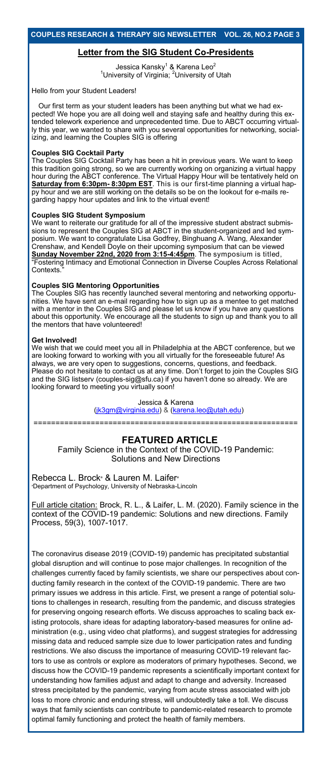### **Letter from the SIG Student Co-Presidents**

Jessica Kansky<sup>1</sup> & Karena Leo<sup>2</sup> <sup>1</sup>University of Virginia; <sup>2</sup>University of Utah

Hello from your Student Leaders!

Our first term as your student leaders has been anything but what we had expected! We hope you are all doing well and staying safe and healthy during this extended telework experience and unprecedented time. Due to ABCT occurring virtually this year, we wanted to share with you several opportunities for networking, socializing, and learning the Couples SIG is offering

#### **Couples SIG Cocktail Party**

The Couples SIG Cocktail Party has been a hit in previous years. We want to keep this tradition going strong, so we are currently working on organizing a virtual happy hour during the ABCT conference. The Virtual Happy Hour will be tentatively held on **Saturday from 6:30pm- 8:30pm EST**. This is our first-time planning a virtual happy hour and we are still working on the details so be on the lookout for e-mails regarding happy hour updates and link to the virtual event!

#### **Couples SIG Student Symposium**

We want to reiterate our gratitude for all of the impressive student abstract submissions to represent the Couples SIG at ABCT in the student-organized and led symposium. We want to congratulate Lisa Godfrey, Binghuang A. Wang, Alexander Crenshaw, and Kendell Doyle on their upcoming symposium that can be viewed **Sunday November 22nd, 2020 from 3:15-4:45pm**. The symposium is titled, "Fostering Intimacy and Emotional Connection in Diverse Couples Across Relational Contexts."

#### **Couples SIG Mentoring Opportunities**

The Couples SIG has recently launched several mentoring and networking opportunities. We have sent an e-mail regarding how to sign up as a mentee to get matched with a mentor in the Couples SIG and please let us know if you have any questions about this opportunity. We encourage all the students to sign up and thank you to all the mentors that have volunteered!

#### **Get Involved!**

We wish that we could meet you all in Philadelphia at the ABCT conference, but we are looking forward to working with you all virtually for the foreseeable future! As always, we are very open to suggestions, concerns, questions, and feedback. Please do not hesitate to contact us at any time. Don't forget to join the Couples SIG and the SIG listserv (couples-sig@sfu.ca) if you haven't done so already. We are looking forward to meeting you virtually soon!

> Jessica & Karena [\(jk3gm@virginia.edu\)](mailto:jk3gm@virginia.edu) & ([karena.leo@utah.edu\)](mailto:karena.leo@utah.edu)

============================================================

### **FEATURED ARTICLE**

Family Science in the Context of the COVID-19 Pandemic: Solutions and New Directions

Rebecca L. Brock<sup>a</sup> & Lauren M. Laifer<sup>a</sup> **Department of Psychology, University of Nebraska-Lincoln** 

Full article citation: Brock, R. L., & Laifer, L. M. (2020). Family science in the context of the COVID-19 pandemic: Solutions and new directions. Family Process, 59(3), 1007-1017.

The coronavirus disease 2019 (COVID-19) pandemic has precipitated substantial global disruption and will continue to pose major challenges. In recognition of the challenges currently faced by family scientists, we share our perspectives about conducting family research in the context of the COVID-19 pandemic. There are two primary issues we address in this article. First, we present a range of potential solutions to challenges in research, resulting from the pandemic, and discuss strategies for preserving ongoing research efforts. We discuss approaches to scaling back existing protocols, share ideas for adapting laboratory-based measures for online administration (e.g., using video chat platforms), and suggest strategies for addressing missing data and reduced sample size due to lower participation rates and funding restrictions. We also discuss the importance of measuring COVID-19 relevant factors to use as controls or explore as moderators of primary hypotheses. Second, we discuss how the COVID-19 pandemic represents a scientifically important context for understanding how families adjust and adapt to change and adversity. Increased stress precipitated by the pandemic, varying from acute stress associated with job loss to more chronic and enduring stress, will undoubtedly take a toll. We discuss ways that family scientists can contribute to pandemic-related research to promote optimal family functioning and protect the health of family members.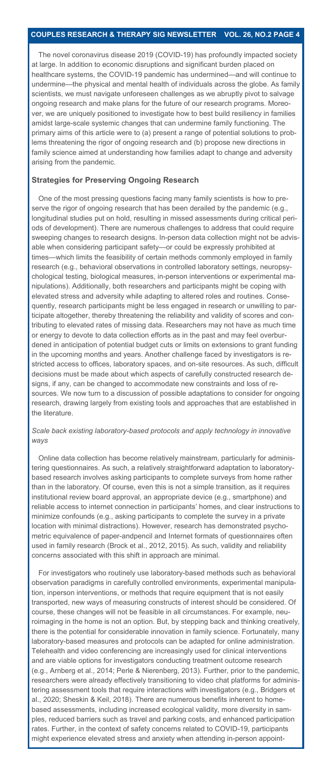The novel coronavirus disease 2019 (COVID-19) has profoundly impacted society at large. In addition to economic disruptions and significant burden placed on healthcare systems, the COVID-19 pandemic has undermined—and will continue to undermine—the physical and mental health of individuals across the globe. As family scientists, we must navigate unforeseen challenges as we abruptly pivot to salvage ongoing research and make plans for the future of our research programs. Moreover, we are uniquely positioned to investigate how to best build resiliency in families amidst large-scale systemic changes that can undermine family functioning. The primary aims of this article were to (a) present a range of potential solutions to problems threatening the rigor of ongoing research and (b) propose new directions in family science aimed at understanding how families adapt to change and adversity arising from the pandemic.

#### **Strategies for Preserving Ongoing Research**

One of the most pressing questions facing many family scientists is how to preserve the rigor of ongoing research that has been derailed by the pandemic (e.g., longitudinal studies put on hold, resulting in missed assessments during critical periods of development). There are numerous challenges to address that could require sweeping changes to research designs. In-person data collection might not be advisable when considering participant safety—or could be expressly prohibited at times—which limits the feasibility of certain methods commonly employed in family research (e.g., behavioral observations in controlled laboratory settings, neuropsychological testing, biological measures, in-person interventions or experimental manipulations). Additionally, both researchers and participants might be coping with elevated stress and adversity while adapting to altered roles and routines. Consequently, research participants might be less engaged in research or unwilling to participate altogether, thereby threatening the reliability and validity of scores and contributing to elevated rates of missing data. Researchers may not have as much time or energy to devote to data collection efforts as in the past and may feel overburdened in anticipation of potential budget cuts or limits on extensions to grant funding in the upcoming months and years. Another challenge faced by investigators is restricted access to offices, laboratory spaces, and on-site resources. As such, difficult decisions must be made about which aspects of carefully constructed research designs, if any, can be changed to accommodate new constraints and loss of resources. We now turn to a discussion of possible adaptations to consider for ongoing research, drawing largely from existing tools and approaches that are established in the literature.

### *Scale back existing laboratory-based protocols and apply technology in innovative ways*

Online data collection has become relatively mainstream, particularly for administering questionnaires. As such, a relatively straightforward adaptation to laboratorybased research involves asking participants to complete surveys from home rather than in the laboratory. Of course, even this is not a simple transition, as it requires institutional review board approval, an appropriate device (e.g., smartphone) and reliable access to internet connection in participants' homes, and clear instructions to minimize confounds (e.g., asking participants to complete the survey in a private location with minimal distractions). However, research has demonstrated psychometric equivalence of paper-andpencil and Internet formats of questionnaires often used in family research (Brock et al., 2012, 2015). As such, validity and reliability concerns associated with this shift in approach are minimal.

For investigators who routinely use laboratory-based methods such as behavioral observation paradigms in carefully controlled environments, experimental manipulation, inperson interventions, or methods that require equipment that is not easily transported, new ways of measuring constructs of interest should be considered. Of course, these changes will not be feasible in all circumstances. For example, neuroimaging in the home is not an option. But, by stepping back and thinking creatively, there is the potential for considerable innovation in family science. Fortunately, many laboratory-based measures and protocols can be adapted for online administration. Telehealth and video conferencing are increasingly used for clinical interventions and are viable options for investigators conducting treatment outcome research (e.g., Arnberg et al., 2014; Perle & Nierenberg, 2013). Further, prior to the pandemic, researchers were already effectively transitioning to video chat platforms for administering assessment tools that require interactions with investigators (e.g., Bridgers et al., 2020; Sheskin & Keil, 2018). There are numerous benefits inherent to homebased assessments, including increased ecological validity, more diversity in samples, reduced barriers such as travel and parking costs, and enhanced participation rates. Further, in the context of safety concerns related to COVID-19, participants might experience elevated stress and anxiety when attending in-person appoint-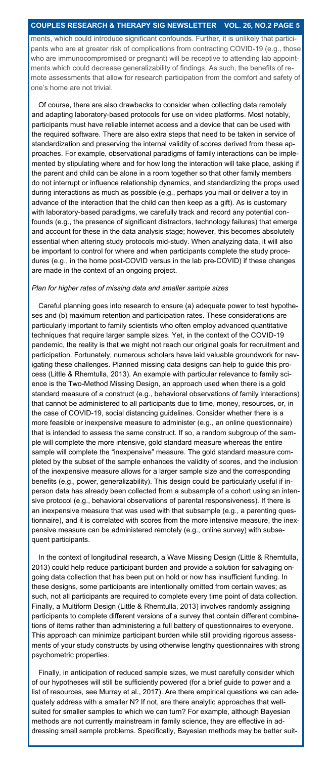ments, which could introduce significant confounds. Further, it is unlikely that participants who are at greater risk of complications from contracting COVID-19 (e.g., those who are immunocompromised or pregnant) will be receptive to attending lab appointments which could decrease generalizability of findings. As such, the benefits of remote assessments that allow for research participation from the comfort and safety of one's home are not trivial.

Of course, there are also drawbacks to consider when collecting data remotely and adapting laboratory-based protocols for use on video platforms. Most notably, participants must have reliable internet access and a device that can be used with the required software. There are also extra steps that need to be taken in service of standardization and preserving the internal validity of scores derived from these approaches. For example, observational paradigms of family interactions can be implemented by stipulating where and for how long the interaction will take place, asking if the parent and child can be alone in a room together so that other family members do not interrupt or influence relationship dynamics, and standardizing the props used during interactions as much as possible (e.g., perhaps you mail or deliver a toy in advance of the interaction that the child can then keep as a gift). As is customary with laboratory-based paradigms, we carefully track and record any potential confounds (e.g., the presence of significant distractors, technology failures) that emerge and account for these in the data analysis stage; however, this becomes absolutely essential when altering study protocols mid-study. When analyzing data, it will also be important to control for where and when participants complete the study procedures (e.g., in the home post-COVID versus in the lab pre-COVID) if these changes are made in the context of an ongoing project.

#### *Plan for higher rates of missing data and smaller sample sizes*

Careful planning goes into research to ensure (a) adequate power to test hypotheses and (b) maximum retention and participation rates. These considerations are particularly important to family scientists who often employ advanced quantitative techniques that require larger sample sizes. Yet, in the context of the COVID-19 pandemic, the reality is that we might not reach our original goals for recruitment and participation. Fortunately, numerous scholars have laid valuable groundwork for navigating these challenges. Planned missing data designs can help to guide this process (Little & Rhemtulla, 2013). An example with particular relevance to family science is the Two-Method Missing Design, an approach used when there is a gold standard measure of a construct (e.g., behavioral observations of family interactions) that cannot be administered to all participants due to time, money, resources, or, in the case of COVID-19, social distancing guidelines. Consider whether there is a more feasible or inexpensive measure to administer (e.g., an online questionnaire) that is intended to assess the same construct. If so, a random subgroup of the sample will complete the more intensive, gold standard measure whereas the entire sample will complete the "inexpensive" measure. The gold standard measure completed by the subset of the sample enhances the validity of scores, and the inclusion of the inexpensive measure allows for a larger sample size and the corresponding benefits (e.g., power, generalizability). This design could be particularly useful if inperson data has already been collected from a subsample of a cohort using an intensive protocol (e.g., behavioral observations of parental responsiveness). If there is an inexpensive measure that was used with that subsample (e.g., a parenting questionnaire), and it is correlated with scores from the more intensive measure, the inexpensive measure can be administered remotely (e.g., online survey) with subsequent participants.

In the context of longitudinal research, a Wave Missing Design (Little & Rhemtulla, 2013) could help reduce participant burden and provide a solution for salvaging ongoing data collection that has been put on hold or now has insufficient funding. In these designs, some participants are intentionally omitted from certain waves; as such, not all participants are required to complete every time point of data collection. Finally, a Multiform Design (Little & Rhemtulla, 2013) involves randomly assigning participants to complete different versions of a survey that contain different combinations of items rather than administering a full battery of questionnaires to everyone. This approach can minimize participant burden while still providing rigorous assessments of your study constructs by using otherwise lengthy questionnaires with strong psychometric properties.

Finally, in anticipation of reduced sample sizes, we must carefully consider which of our hypotheses will still be sufficiently powered (for a brief guide to power and a list of resources, see Murray et al., 2017). Are there empirical questions we can adequately address with a smaller N? If not, are there analytic approaches that wellsuited for smaller samples to which we can turn? For example, although Bayesian methods are not currently mainstream in family science, they are effective in addressing small sample problems. Specifically, Bayesian methods may be better suit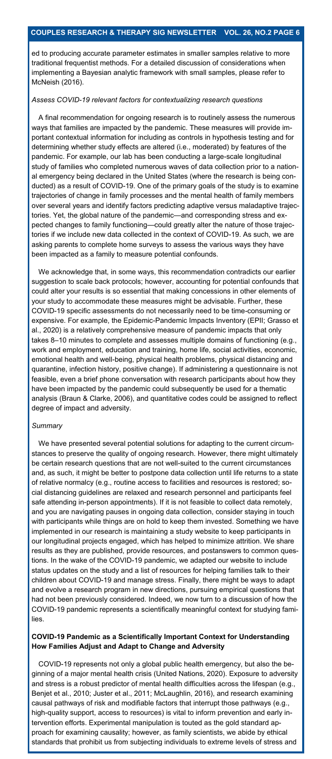ed to producing accurate parameter estimates in smaller samples relative to more traditional frequentist methods. For a detailed discussion of considerations when implementing a Bayesian analytic framework with small samples, please refer to McNeish (2016).

#### *Assess COVID-19 relevant factors for contextualizing research questions*

A final recommendation for ongoing research is to routinely assess the numerous ways that families are impacted by the pandemic. These measures will provide important contextual information for including as controls in hypothesis testing and for determining whether study effects are altered (i.e., moderated) by features of the pandemic. For example, our lab has been conducting a large-scale longitudinal study of families who completed numerous waves of data collection prior to a national emergency being declared in the United States (where the research is being conducted) as a result of COVID-19. One of the primary goals of the study is to examine trajectories of change in family processes and the mental health of family members over several years and identify factors predicting adaptive versus maladaptive trajectories. Yet, the global nature of the pandemic—and corresponding stress and expected changes to family functioning—could greatly alter the nature of those trajectories if we include new data collected in the context of COVID-19. As such, we are asking parents to complete home surveys to assess the various ways they have been impacted as a family to measure potential confounds.

We acknowledge that, in some ways, this recommendation contradicts our earlier suggestion to scale back protocols; however, accounting for potential confounds that could alter your results is so essential that making concessions in other elements of your study to accommodate these measures might be advisable. Further, these COVID-19 specific assessments do not necessarily need to be time-consuming or expensive. For example, the Epidemic-Pandemic Impacts Inventory (EPII; Grasso et al., 2020) is a relatively comprehensive measure of pandemic impacts that only takes 8–10 minutes to complete and assesses multiple domains of functioning (e.g., work and employment, education and training, home life, social activities, economic, emotional health and well-being, physical health problems, physical distancing and quarantine, infection history, positive change). If administering a questionnaire is not feasible, even a brief phone conversation with research participants about how they have been impacted by the pandemic could subsequently be used for a thematic analysis (Braun & Clarke, 2006), and quantitative codes could be assigned to reflect degree of impact and adversity.

#### *Summary*

We have presented several potential solutions for adapting to the current circumstances to preserve the quality of ongoing research. However, there might ultimately be certain research questions that are not well-suited to the current circumstances and, as such, it might be better to postpone data collection until life returns to a state of relative normalcy (e.g., routine access to facilities and resources is restored; social distancing guidelines are relaxed and research personnel and participants feel safe attending in-person appointments). If it is not feasible to collect data remotely, and you are navigating pauses in ongoing data collection, consider staying in touch with participants while things are on hold to keep them invested. Something we have implemented in our research is maintaining a study website to keep participants in our longitudinal projects engaged, which has helped to minimize attrition. We share results as they are published, provide resources, and postanswers to common questions. In the wake of the COVID-19 pandemic, we adapted our website to include status updates on the study and a list of resources for helping families talk to their children about COVID-19 and manage stress. Finally, there might be ways to adapt and evolve a research program in new directions, pursuing empirical questions that had not been previously considered. Indeed, we now turn to a discussion of how the COVID-19 pandemic represents a scientifically meaningful context for studying families.

### **COVID-19 Pandemic as a Scientifically Important Context for Understanding How Families Adjust and Adapt to Change and Adversity**

COVID-19 represents not only a global public health emergency, but also the beginning of a major mental health crisis (United Nations, 2020). Exposure to adversity and stress is a robust predictor of mental health difficulties across the lifespan (e.g., Benjet et al., 2010; Juster et al., 2011; McLaughlin, 2016), and research examining causal pathways of risk and modifiable factors that interrupt those pathways (e.g., high-quality support, access to resources) is vital to inform prevention and early intervention efforts. Experimental manipulation is touted as the gold standard approach for examining causality; however, as family scientists, we abide by ethical standards that prohibit us from subjecting individuals to extreme levels of stress and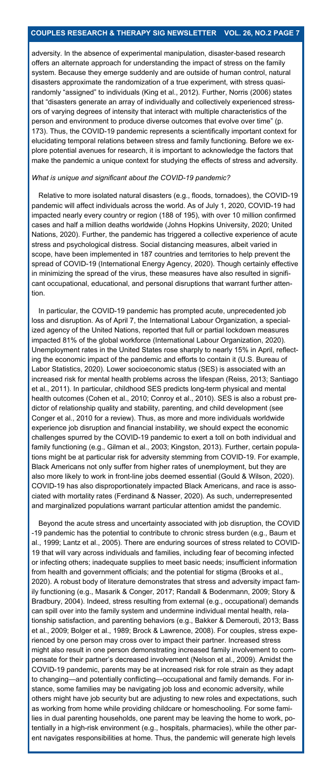adversity. In the absence of experimental manipulation, disaster-based research offers an alternate approach for understanding the impact of stress on the family system. Because they emerge suddenly and are outside of human control, natural disasters approximate the randomization of a true experiment, with stress quasirandomly "assigned" to individuals (King et al., 2012). Further, Norris (2006) states that "disasters generate an array of individually and collectively experienced stressors of varying degrees of intensity that interact with multiple characteristics of the person and environment to produce diverse outcomes that evolve over time" (p. 173). Thus, the COVID-19 pandemic represents a scientifically important context for elucidating temporal relations between stress and family functioning. Before we explore potential avenues for research, it is important to acknowledge the factors that make the pandemic a unique context for studying the effects of stress and adversity.

#### *What is unique and significant about the COVID-19 pandemic?*

Relative to more isolated natural disasters (e.g., floods, tornadoes), the COVID-19 pandemic will affect individuals across the world. As of July 1, 2020, COVID-19 had impacted nearly every country or region (188 of 195), with over 10 million confirmed cases and half a million deaths worldwide (Johns Hopkins University, 2020; United Nations, 2020). Further, the pandemic has triggered a collective experience of acute stress and psychological distress. Social distancing measures, albeit varied in scope, have been implemented in 187 countries and territories to help prevent the spread of COVID-19 (International Energy Agency, 2020). Though certainly effective in minimizing the spread of the virus, these measures have also resulted in significant occupational, educational, and personal disruptions that warrant further attention.

In particular, the COVID-19 pandemic has prompted acute, unprecedented job loss and disruption. As of April 7, the International Labour Organization, a specialized agency of the United Nations, reported that full or partial lockdown measures impacted 81% of the global workforce (International Labour Organization, 2020). Unemployment rates in the United States rose sharply to nearly 15% in April, reflecting the economic impact of the pandemic and efforts to contain it (U.S. Bureau of Labor Statistics, 2020). Lower socioeconomic status (SES) is associated with an increased risk for mental health problems across the lifespan (Reiss, 2013; Santiago et al., 2011). In particular, childhood SES predicts long-term physical and mental health outcomes (Cohen et al., 2010; Conroy et al., 2010). SES is also a robust predictor of relationship quality and stability, parenting, and child development (see Conger et al., 2010 for a review). Thus, as more and more individuals worldwide experience job disruption and financial instability, we should expect the economic challenges spurred by the COVID-19 pandemic to exert a toll on both individual and family functioning (e.g., Gilman et al., 2003; Kingston, 2013). Further, certain populations might be at particular risk for adversity stemming from COVID-19. For example, Black Americans not only suffer from higher rates of unemployment, but they are also more likely to work in front-line jobs deemed essential (Gould & Wilson, 2020). COVID-19 has also disproportionately impacted Black Americans, and race is associated with mortality rates (Ferdinand & Nasser, 2020). As such, underrepresented and marginalized populations warrant particular attention amidst the pandemic.

Beyond the acute stress and uncertainty associated with job disruption, the COVID -19 pandemic has the potential to contribute to chronic stress burden (e.g., Baum et al., 1999; Lantz et al., 2005). There are enduring sources of stress related to COVID-19 that will vary across individuals and families, including fear of becoming infected or infecting others; inadequate supplies to meet basic needs; insufficient information from health and government officials; and the potential for stigma (Brooks et al., 2020). A robust body of literature demonstrates that stress and adversity impact family functioning (e.g., Masarik & Conger, 2017; Randall & Bodenmann, 2009; Story & Bradbury, 2004). Indeed, stress resulting from external (e.g., occupational) demands can spill over into the family system and undermine individual mental health, relationship satisfaction, and parenting behaviors (e.g., Bakker & Demerouti, 2013; Bass et al., 2009; Bolger et al., 1989; Brock & Lawrence, 2008). For couples, stress experienced by one person may cross over to impact their partner. Increased stress might also result in one person demonstrating increased family involvement to compensate for their partner's decreased involvement (Nelson et al., 2009). Amidst the COVID-19 pandemic, parents may be at increased risk for role strain as they adapt to changing—and potentially conflicting—occupational and family demands. For instance, some families may be navigating job loss and economic adversity, while others might have job security but are adjusting to new roles and expectations, such as working from home while providing childcare or homeschooling. For some families in dual parenting households, one parent may be leaving the home to work, potentially in a high-risk environment (e.g., hospitals, pharmacies), while the other parent navigates responsibilities at home. Thus, the pandemic will generate high levels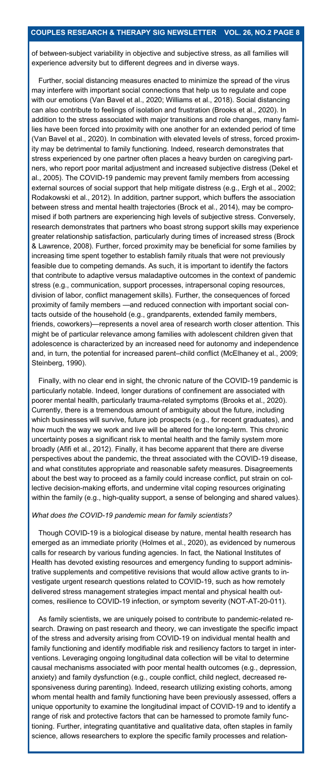of between-subject variability in objective and subjective stress, as all families will experience adversity but to different degrees and in diverse ways.

Further, social distancing measures enacted to minimize the spread of the virus may interfere with important social connections that help us to regulate and cope with our emotions (Van Bavel et al., 2020; Williams et al., 2018). Social distancing can also contribute to feelings of isolation and frustration (Brooks et al., 2020). In addition to the stress associated with major transitions and role changes, many families have been forced into proximity with one another for an extended period of time (Van Bavel et al., 2020). In combination with elevated levels of stress, forced proximity may be detrimental to family functioning. Indeed, research demonstrates that stress experienced by one partner often places a heavy burden on caregiving partners, who report poor marital adjustment and increased subjective distress (Dekel et al., 2005). The COVID-19 pandemic may prevent family members from accessing external sources of social support that help mitigate distress (e.g., Ergh et al., 2002; Rodakowski et al., 2012). In addition, partner support, which buffers the association between stress and mental health trajectories (Brock et al., 2014), may be compromised if both partners are experiencing high levels of subjective stress. Conversely, research demonstrates that partners who boast strong support skills may experience greater relationship satisfaction, particularly during times of increased stress (Brock & Lawrence, 2008). Further, forced proximity may be beneficial for some families by increasing time spent together to establish family rituals that were not previously feasible due to competing demands. As such, it is important to identify the factors that contribute to adaptive versus maladaptive outcomes in the context of pandemic stress (e.g., communication, support processes, intrapersonal coping resources, division of labor, conflict management skills). Further, the consequences of forced proximity of family members —and reduced connection with important social contacts outside of the household (e.g., grandparents, extended family members, friends, coworkers)—represents a novel area of research worth closer attention. This might be of particular relevance among families with adolescent children given that adolescence is characterized by an increased need for autonomy and independence and, in turn, the potential for increased parent–child conflict (McElhaney et al., 2009; Steinberg, 1990).

Finally, with no clear end in sight, the chronic nature of the COVID-19 pandemic is particularly notable. Indeed, longer durations of confinement are associated with poorer mental health, particularly trauma-related symptoms (Brooks et al., 2020). Currently, there is a tremendous amount of ambiguity about the future, including which businesses will survive, future job prospects (e.g., for recent graduates), and how much the way we work and live will be altered for the long-term. This chronic uncertainty poses a significant risk to mental health and the family system more broadly (Afifi et al., 2012). Finally, it has become apparent that there are diverse perspectives about the pandemic, the threat associated with the COVID-19 disease, and what constitutes appropriate and reasonable safety measures. Disagreements about the best way to proceed as a family could increase conflict, put strain on collective decision-making efforts, and undermine vital coping resources originating within the family (e.g., high-quality support, a sense of belonging and shared values).

#### *What does the COVID-19 pandemic mean for family scientists?*

Though COVID-19 is a biological disease by nature, mental health research has emerged as an immediate priority (Holmes et al., 2020), as evidenced by numerous calls for research by various funding agencies. In fact, the National Institutes of Health has devoted existing resources and emergency funding to support administrative supplements and competitive revisions that would allow active grants to investigate urgent research questions related to COVID-19, such as how remotely delivered stress management strategies impact mental and physical health outcomes, resilience to COVID-19 infection, or symptom severity (NOT-AT-20-011).

As family scientists, we are uniquely poised to contribute to pandemic-related research. Drawing on past research and theory, we can investigate the specific impact of the stress and adversity arising from COVID-19 on individual mental health and family functioning and identify modifiable risk and resiliency factors to target in interventions. Leveraging ongoing longitudinal data collection will be vital to determine causal mechanisms associated with poor mental health outcomes (e.g., depression, anxiety) and family dysfunction (e.g., couple conflict, child neglect, decreased responsiveness during parenting). Indeed, research utilizing existing cohorts, among whom mental health and family functioning have been previously assessed, offers a unique opportunity to examine the longitudinal impact of COVID-19 and to identify a range of risk and protective factors that can be harnessed to promote family functioning. Further, integrating quantitative and qualitative data, often staples in family science, allows researchers to explore the specific family processes and relation-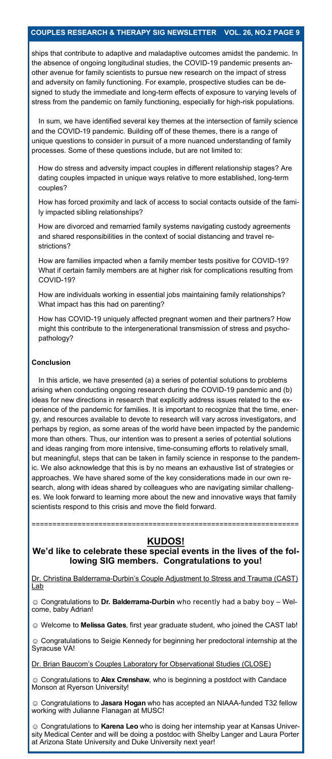ships that contribute to adaptive and maladaptive outcomes amidst the pandemic. In the absence of ongoing longitudinal studies, the COVID-19 pandemic presents another avenue for family scientists to pursue new research on the impact of stress and adversity on family functioning. For example, prospective studies can be designed to study the immediate and long-term effects of exposure to varying levels of stress from the pandemic on family functioning, especially for high-risk populations.

In sum, we have identified several key themes at the intersection of family science and the COVID-19 pandemic. Building off of these themes, there is a range of unique questions to consider in pursuit of a more nuanced understanding of family processes. Some of these questions include, but are not limited to:

How do stress and adversity impact couples in different relationship stages? Are dating couples impacted in unique ways relative to more established, long-term couples?

How has forced proximity and lack of access to social contacts outside of the family impacted sibling relationships?

How are divorced and remarried family systems navigating custody agreements and shared responsibilities in the context of social distancing and travel restrictions?

How are families impacted when a family member tests positive for COVID-19? What if certain family members are at higher risk for complications resulting from COVID-19?

How are individuals working in essential jobs maintaining family relationships? What impact has this had on parenting?

How has COVID-19 uniquely affected pregnant women and their partners? How might this contribute to the intergenerational transmission of stress and psychopathology?

#### **Conclusion**

In this article, we have presented (a) a series of potential solutions to problems arising when conducting ongoing research during the COVID-19 pandemic and (b) ideas for new directions in research that explicitly address issues related to the experience of the pandemic for families. It is important to recognize that the time, energy, and resources available to devote to research will vary across investigators, and perhaps by region, as some areas of the world have been impacted by the pandemic more than others. Thus, our intention was to present a series of potential solutions and ideas ranging from more intensive, time-consuming efforts to relatively small, but meaningful, steps that can be taken in family science in response to the pandemic. We also acknowledge that this is by no means an exhaustive list of strategies or approaches. We have shared some of the key considerations made in our own research, along with ideas shared by colleagues who are navigating similar challenges. We look forward to learning more about the new and innovative ways that family scientists respond to this crisis and move the field forward.

### **KUDOS!**

================================================================

### **We'd like to celebrate these special events in the lives of the following SIG members. Congratulations to you!**

Dr. Christina Balderrama-Durbin's Couple Adjustment to Stress and Trauma (CAST) Lab

☺ Congratulations to **Dr. Balderrama-Durbin** who recently had a baby boy – Welcome, baby Adrian!

☺ Welcome to **Melissa Gates**, first year graduate student, who joined the CAST lab!

☺ Congratulations to Seigie Kennedy for beginning her predoctoral internship at the Syracuse VA!

Dr. Brian Baucom's Couples Laboratory for Observational Studies (CLOSE)

☺ Congratulations to **Alex Crenshaw**, who is beginning a postdoct with Candace Monson at Ryerson University!

☺ Congratulations to **Jasara Hogan** who has accepted an NIAAA-funded T32 fellow working with Julianne Flanagan at MUSC!

☺ Congratulations to **Karena Leo** who is doing her internship year at Kansas University Medical Center and will be doing a postdoc with Shelby Langer and Laura Porter at Arizona State University and Duke University next year!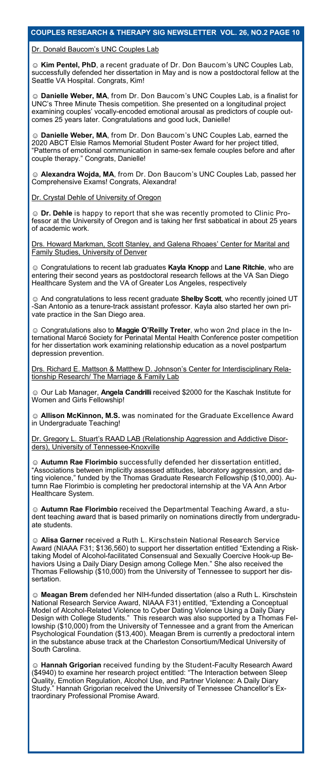#### Dr. Donald Baucom's UNC Couples Lab

☺ **Kim Pentel, PhD**, a recent graduate of Dr. Don Baucom's UNC Couples Lab, successfully defended her dissertation in May and is now a postdoctoral fellow at the Seattle VA Hospital. Congrats, Kim!

☺ **Danielle Weber, MA**, from Dr. Don Baucom's UNC Couples Lab, is a finalist for UNC's Three Minute Thesis competition. She presented on a longitudinal project examining couples' vocally-encoded emotional arousal as predictors of couple outcomes 25 years later. Congratulations and good luck, Danielle!

☺ **Danielle Weber, MA**, from Dr. Don Baucom's UNC Couples Lab, earned the 2020 ABCT Elsie Ramos Memorial Student Poster Award for her project titled, "Patterns of emotional communication in same-sex female couples before and after couple therapy." Congrats, Danielle!

☺ **Alexandra Wojda, MA**, from Dr. Don Baucom's UNC Couples Lab, passed her Comprehensive Exams! Congrats, Alexandra!

#### Dr. Crystal Dehle of University of Oregon

☺ **Dr. Dehle** is happy to report that she was recently promoted to Clinic Professor at the University of Oregon and is taking her first sabbatical in about 25 years of academic work.

Drs. Howard Markman, Scott Stanley, and Galena Rhoaes' Center for Marital and Family Studies, University of Denver

☺ Congratulations to recent lab graduates **Kayla Knopp** and **Lane Ritchie**, who are entering their second years as postdoctoral research fellows at the VA San Diego Healthcare System and the VA of Greater Los Angeles, respectively

☺ And congratulations to less recent graduate **Shelby Scott**, who recently joined UT -San Antonio as a tenure-track assistant professor. Kayla also started her own private practice in the San Diego area.

☺ Congratulations also to **Maggie O'Reilly Treter**, who won 2nd place in the International Marcé Society for Perinatal Mental Health Conference poster competition for her dissertation work examining relationship education as a novel postpartum depression prevention.

Drs. Richard E. Mattson & Matthew D. Johnson's Center for Interdisciplinary Relationship Research/ The Marriage & Family Lab

☺ Our Lab Manager, **Angela Candrilli** received \$2000 for the Kaschak Institute for Women and Girls Fellowship!

**☺ Allison McKinnon, M.S.** was nominated for the Graduate Excellence Award in Undergraduate Teaching!

Dr. Gregory L. Stuart's RAAD LAB (Relationship Aggression and Addictive Disorders), University of Tennessee-Knoxville

☺ **Autumn Rae Florimbio** successfully defended her dissertation entitled, "Associations between implicitly assessed attitudes, laboratory aggression, and dating violence," funded by the Thomas Graduate Research Fellowship (\$10,000). Autumn Rae Florimbio is completing her predoctoral internship at the VA Ann Arbor Healthcare System.

☺ **Autumn Rae Florimbio** received the Departmental Teaching Award, a student teaching award that is based primarily on nominations directly from undergraduate students.

☺ **Alisa Garner** received a Ruth L. Kirschstein National Research Service Award (NIAAA F31; \$136,560) to support her dissertation entitled "Extending a Risktaking Model of Alcohol-facilitated Consensual and Sexually Coercive Hook-up Behaviors Using a Daily Diary Design among College Men." She also received the Thomas Fellowship (\$10,000) from the University of Tennessee to support her dissertation.

☺ **Meagan Brem** defended her NIH-funded dissertation (also a Ruth L. Kirschstein National Research Service Award, NIAAA F31) entitled, "Extending a Conceptual Model of Alcohol-Related Violence to Cyber Dating Violence Using a Daily Diary Design with College Students." This research was also supported by a Thomas Fellowship (\$10,000) from the University of Tennessee and a grant from the American Psychological Foundation (\$13,400). Meagan Brem is currently a predoctoral intern in the substance abuse track at the Charleston Consortium/Medical University of South Carolina.

☺ **Hannah Grigorian** received funding by the Student-Faculty Research Award (\$4940) to examine her research project entitled: "The Interaction between Sleep Quality, Emotion Regulation, Alcohol Use, and Partner Violence: A Daily Diary Hannah Grigorian received the University of Tennessee Chancellor's Extraordinary Professional Promise Award.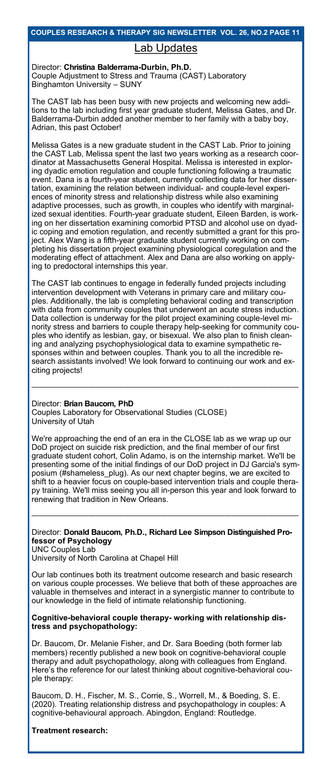## Lab Updates

### Director: **Christina Balderrama-Durbin, Ph.D.**

Couple Adjustment to Stress and Trauma (CAST) Laboratory Binghamton University – SUNY

The CAST lab has been busy with new projects and welcoming new additions to the lab including first year graduate student, Melissa Gates, and Dr. Balderrama-Durbin added another member to her family with a baby boy, Adrian, this past October!

Melissa Gates is a new graduate student in the CAST Lab. Prior to joining the CAST Lab, Melissa spent the last two years working as a research coordinator at Massachusetts General Hospital. Melissa is interested in exploring dyadic emotion regulation and couple functioning following a traumatic event. Dana is a fourth-year student, currently collecting data for her dissertation, examining the relation between individual- and couple-level experiences of minority stress and relationship distress while also examining adaptive processes, such as growth, in couples who identify with marginalized sexual identities. Fourth-year graduate student, Eileen Barden, is working on her dissertation examining comorbid PTSD and alcohol use on dyadic coping and emotion regulation, and recently submitted a grant for this project. Alex Wang is a fifth-year graduate student currently working on completing his dissertation project examining physiological coregulation and the moderating effect of attachment. Alex and Dana are also working on applying to predoctoral internships this year.

The CAST lab continues to engage in federally funded projects including intervention development with Veterans in primary care and military couples. Additionally, the lab is completing behavioral coding and transcription with data from community couples that underwent an acute stress induction. Data collection is underway for the pilot project examining couple-level minority stress and barriers to couple therapy help-seeking for community couples who identify as lesbian, gay, or bisexual. We also plan to finish cleaning and analyzing psychophysiological data to examine sympathetic responses within and between couples. Thank you to all the incredible research assistants involved! We look forward to continuing our work and exciting projects!

—————————————————————————————————————-

### Director: **Brian Baucom, PhD**

Couples Laboratory for Observational Studies (CLOSE) University of Utah

We're approaching the end of an era in the CLOSE lab as we wrap up our DoD project on suicide risk prediction, and the final member of our first graduate student cohort, Colin Adamo, is on the internship market. We'll be presenting some of the initial findings of our DoD project in DJ Garcia's symposium (#shameless\_plug). As our next chapter begins, we are excited to shift to a heavier focus on couple-based intervention trials and couple therapy training. We'll miss seeing you all in-person this year and look forward to renewing that tradition in New Orleans.

### Director: **Donald Baucom, Ph.D., Richard Lee Simpson Distinguished Professor of Psychology**

—————————————————————————————————————-

UNC Couples Lab University of North Carolina at Chapel Hill

Our lab continues both its treatment outcome research and basic research on various couple processes. We believe that both of these approaches are valuable in themselves and interact in a synergistic manner to contribute to our knowledge in the field of intimate relationship functioning.

### **Cognitive-behavioral couple therapy- working with relationship distress and psychopathology:**

Dr. Baucom, Dr. Melanie Fisher, and Dr. Sara Boeding (both former lab members) recently published a new book on cognitive-behavioral couple therapy and adult psychopathology, along with colleagues from England. Here's the reference for our latest thinking about cognitive-behavioral couple therapy:

Baucom, D. H., Fischer, M. S., Corrie, S., Worrell, M., & Boeding, S. E. (2020). Treating relationship distress and psychopathology in couples: A cognitive-behavioural approach. Abingdon, England: Routledge.

### **Treatment research:**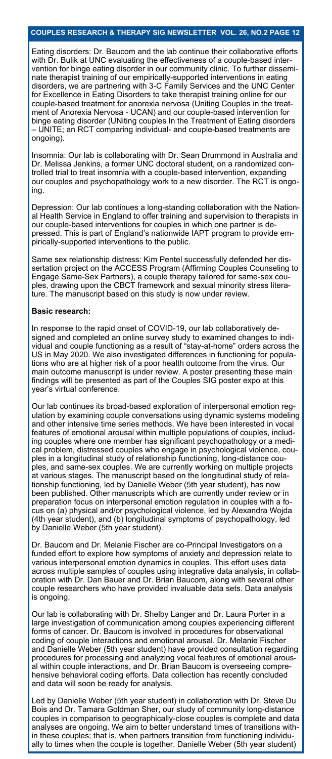Eating disorders: Dr. Baucom and the lab continue their collaborative efforts with Dr. Bulik at UNC evaluating the effectiveness of a couple-based inter vention for binge eating disorder in our community clinic. To further disseminate therapist training of our empirically-supported interventions in eating disorders, we are partnering with 3-C Family Services and the UNC Center for Excellence in Eating Disorders to take therapist training online for our couple-based treatment for anorexia nervosa (Uniting Couples in the treatment of Anorexia Nervosa - UCAN) and our couple-based intervention for binge eating disorder (UNiting couples In the Treatment of Eating disorders – UNITE; an RCT comparing individual- and couple-based treatments are ongoing).

Insomnia: Our lab is collaborating with Dr. Sean Drummond in Australia and Dr. Melissa Jenkins, a former UNC doctoral student, on a randomized controlled trial to treat insomnia with a couple-based intervention, expanding our couples and psychopathology work to a new disorder. The RCT is ongoing.

Depression: Our lab continues a long-standing collaboration with the National Health Service in England to offer training and supervision to therapists in our couple-based interventions for couples in which one partner is depressed. This is part of England's nationwide IAPT program to provide empirically-supported interventions to the public.

Same sex relationship distress: Kim Pentel successfully defended her dissertation project on the ACCESS Program (Affirming Couples Counseling to Engage Same-Sex Partners), a couple therapy tailored for same-sex couples, drawing upon the CBCT framework and sexual minority stress literature. The manuscript based on this study is now under review.

#### **Basic research:**

In response to the rapid onset of COVID-19, our lab collaboratively designed and completed an online survey study to examined changes to individual and couple functioning as a result of "stay-at-home" orders across the US in May 2020. We also investigated differences in functioning for populations who are at higher risk of a poor health outcome from the virus. Our main outcome manuscript is under review. A poster presenting these main findings will be presented as part of the Couples SIG poster expo at this year's virtual conference.

Our lab continues its broad-based exploration of interpersonal emotion regulation by examining couple conversations using dynamic systems modeling and other intensive time series methods. We have been interested in vocal features of emotional arousal within multiple populations of couples, including couples where one member has significant psychopathology or a medical problem, distressed couples who engage in psychological violence, couples in a longitudinal study of relationship functioning, long-distance couples, and same-sex couples. We are currently working on multiple projects at various stages. The manuscript based on the longitudinal study of relationship functioning, led by Danielle Weber (5th year student), has now been published. Other manuscripts which are currently under review or in preparation focus on interpersonal emotion regulation in couples with a focus on (a) physical and/or psychological violence, led by Alexandra Wojda (4th year student), and (b) longitudinal symptoms of psychopathology, led by Danielle Weber (5th year student).

Dr. Baucom and Dr. Melanie Fischer are co-Principal Investigators on a funded effort to explore how symptoms of anxiety and depression relate to various interpersonal emotion dynamics in couples. This effort uses data across multiple samples of couples using integrative data analysis, in collaboration with Dr. Dan Bauer and Dr. Brian Baucom, along with several other couple researchers who have provided invaluable data sets. Data analysis is ongoing.

Our lab is collaborating with Dr. Shelby Langer and Dr. Laura Porter in a large investigation of communication among couples experiencing different forms of cancer. Dr. Baucom is involved in procedures for observational coding of couple interactions and emotional arousal. Dr. Melanie Fischer and Danielle Weber (5th year student) have provided consultation regarding procedures for processing and analyzing vocal features of emotional arousal within couple interactions, and Dr. Brian Baucom is overseeing comprehensive behavioral coding efforts. Data collection has recently concluded and data will soon be ready for analysis.

Led by Danielle Weber (5th year student) in collaboration with Dr. Steve Du Bois and Dr. Tamara Goldman Sher, our study of community long-distance couples in comparison to geographically-close couples is complete and data analyses are ongoing. We aim to better understand times of transitions within these couples; that is, when partners transition from functioning individually to times when the couple is together. Danielle Weber (5th year student)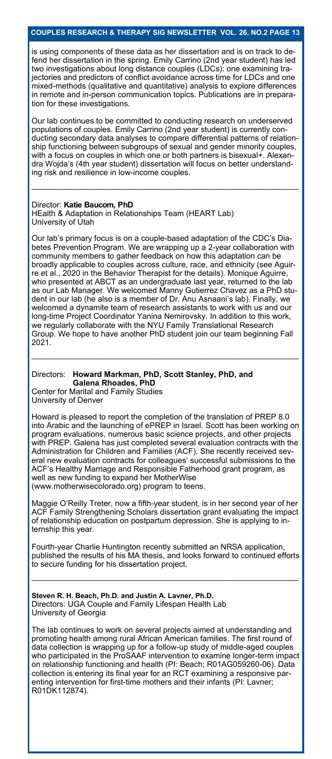is using components of these data as her dissertation and is on track to defend her dissertation in the spring. Emily Carrino (2nd year student) has led two investigations about long distance couples (LDCs): one examining trajectories and predictors of conflict avoidance across time for LDCs and one mixed-methods (qualitative and quantitative) analysis to explore differences in remote and in-person communication topics. Publications are in preparation for these investigations.

Our lab continues to be committed to conducting research on underserved populations of couples. Emily Carrino (2nd year student) is currently conducting secondary data analyses to compare differential patterns of relationship functioning between subgroups of sexual and gender minority couples, with a focus on couples in which one or both partners is bisexual+. Alexandra Wojda's (4th year student) dissertation will focus on better understanding risk and resilience in low-income couples.

—————————————————————————————————————-

#### Director: **Katie Baucom, PhD**

HEalth & Adaptation in Relationships Team (HEART Lab) University of Utah

Our lab's primary focus is on a couple-based adaptation of the CDC's Diabetes Prevention Program. We are wrapping up a 2-year collaboration with community members to gather feedback on how this adaptation can be broadly applicable to couples across culture, race, and ethnicity (see Aguirre et al., 2020 in the Behavior Therapist for the details). Monique Aguirre, who presented at ABCT as an undergraduate last year, returned to the lab as our Lab Manager. We welcomed Manny Gutierrez Chavez as a PhD student in our lab (he also is a member of Dr. Anu Asnaani's lab). Finally, we welcomed a dynamite team of research assistants to work with us and our long-time Project Coordinator Yanina Nemirovsky. In addition to this work, we regularly collaborate with the NYU Family Translational Research Group. We hope to have another PhD student join our team beginning Fall 2021.

—————————————————————————————————————-

#### Directors: **Howard Markman, PhD, Scott Stanley, PhD, and Galena Rhoades, PhD**

Center for Marital and Family Studies University of Denver

Howard is pleased to report the completion of the translation of PREP 8.0 into Arabic and the launching of ePREP in Israel. Scott has been working on program evaluations, numerous basic science projects, and other projects with PREP. Galena has just completed several evaluation contracts with the Administration for Children and Families (ACF). She recently received several new evaluation contracts for colleagues' successful submissions to the ACF's Healthy Marriage and Responsible Fatherhood grant program, as well as new funding to expand her MotherWise (www.motherwisecolorado.org) program to teens.

Maggie O'Reilly Treter, now a fifth-year student, is in her second year of her ACF Family Strengthening Scholars dissertation grant evaluating the impact of relationship education on postpartum depression. She is applying to internship this year.

Fourth-year Charlie Huntington recently submitted an NRSA application, published the results of his MA thesis, and looks forward to continued efforts to secure funding for his dissertation project.

—————————————————————————————————————-

**Steven R. H. Beach, Ph.D. and Justin A. Lavner, Ph.D.** Directors: UGA Couple and Family Lifespan Health Lab University of Georgia

The lab continues to work on several projects aimed at understanding and promoting health among rural African American families. The first round of data collection is wrapping up for a follow-up study of middle-aged couples who participated in the ProSAAF intervention to examine longer-term impact on relationship functioning and health (PI: Beach; R01AG059260-06). Data collection is entering its final year for an RCT examining a responsive parenting intervention for first-time mothers and their infants (PI: Lavner; R01DK112874).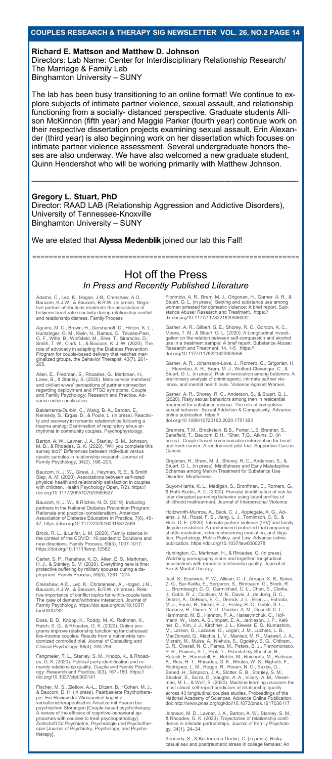#### **Richard E. Mattson and Matthew D. Johnson**

Directors: Lab Name: Center for Interdisciplinary Relationship Research/ The Marriage & Family Lab Binghamton University – SUNY

The lab has been busy transitioning to an online format! We continue to explore subjects of intimate partner violence, sexual assault, and relationship functioning from a socially- distanced perspective. Graduate students Allison McKinnon (fifth year) and Maggie Parker (fourth year) continue work on their respective dissertation projects examining sexual assault. Erin Alexander (third year) is also beginning work on her dissertation which focuses on intimate partner violence assessment. Several undergraduate honors theses are also underway. We have also welcomed a new graduate student, Quinn Hendershot who will be working primarily with Matthew Johnson.

—————————————————————————————————————-

### **Gregory L. Stuart, PhD**

Director: RAAD LAB (Relationship Aggression and Addictive Disorders), University of Tennessee-Knoxville Binghamton University – SUNY

#### We are elated that **Alyssa Medenblik** joined our lab this Fall!

================================================================

### Hot off the Press *In Press and Recently Published Literature*

Adamo, C., Leo, K., Hogan, J.N., Crenshaw, A.O.,<br>Baucom, K.J.W., & Baucom, B.R.W. (in press). Nega-<br>tive partner attributions moderate the association of<br>between heart rate reactivity during relationship conflict<br>and relat

Aguirre, M. C., Brown, H., Gershenoff, D., Hinton, K. L., Hinton, K. L., Hinton, K. L., O. F., Witte, B., Wolfsfeld, M., Sher, T., Simmons, D., Smith, T. W., Clark, L., & Baucom, K. J. W. (2020). The role of advocacy in ad

Allen, E., Fredman, S., Rhoades, G., Markman, H.,<br>Loew, B., & Stanley, S. (2020). Male service members'<br>and civilian wives' perceptions of partner connection<br>regarding deployment and PTSD symptoms. Couple<br>and Family Psycho vance online publication.

Balderrama-Durbin, C., Wang, B. A., Barden, E.,<br>Kennedy, S., Ergas, D., & Poole, L. (in press). Reactivi-<br>ty and recovery in romantic relationships following a<br>trauma analog: Examination of respiratory sinus ar-<br>rhythmia i

Barton, A. W., Lavner, J. A., Stanley, S. M., Johnson,<br>M. D., & Rhoades, G. K. (2020). "Will you complete this<br>survey too?" Differences between individual versus dyadic samples in relationship research. Journal of Family Psychology, 34(2), 196–203.

Baucom, K. J. W., Giresi, J., Heyman, R. E., & Smith<br>Slep, A. M. (2020). Associations between self-rated<br>physical health and relationship satisfaction in couples<br>with children. Health Psychology Open, 7(2). https://<br>doi.or

Baucom, K. J. W., & Ritchie, N. D. (2019). Including<br>partners in the National Diabetes Prevention Program:<br>Rationale and practical considerations. American<br>Association of Diabetes Educators in Practice, 7(6), 46-<br>47. https

Brock, R. L., & Laifer, L. M. (2020). Family science in<br>the context of the COVID⊡19 pandemic: Solutions and<br>new directions. Family Process, 59(3), 1007-1017.<br>https://doi.org/10.1111/famp.12582

Carter, S. P., Renshaw, K. D., Allen, E. S., Markman, H. J., & Stanley, S. M. (2020). Everything here is fine: protective buffering by military spouses during a de-ployment. Family Process, 59(3), 1261-1274.

Crenshaw, A.O., Leo, K., Christensen, A., Hogan, J.N.,<br>Baucom, K.J.W., & Baucom, B.R.W. (in press). Rela-<br>tive importance of conflict topics for within-couple tests:<br>The case of demand/withdraw interaction. Journal of<br>Fami

Doss, B. D., Knopp, K., Roddy, M. K., Rothman, K.,<br>Hatch, S. G., & Rhoades, G. K. (2020). Online pro-<br>grams improve relationship functioning for distressed<br>low-income couples: Results from a nationwide ran-<br>domized control

Fangmeier, T. L., Stanley, S. M., Knopp, K., & Rhoad-<br>es, G. K. (2020). Political party identification and ro-<br>mantic relationship quality. Couple and Family Psychol-<br>ogy: Research and Practice, 9(3), 167–180. https://<br>doi

Fischer, M. S., Zietlow, A.-L., Ditzen, B., \*Cohen, M. J.,<br>& Baucom, D. H. (in press). Paarbasierte Psychothera-<br>pie: Ein Review der Wirksamkeit kognitiv-<br>pie: Ein Review der Wirksamkeit kognitiv-<br>verhaltenstherapeutischer therapy].

Florimbio, A. R., Brem, M. J., Grigorian, H., Garner, A. R., &<br>Stuart, G. L. (in press). Sexting and substance use among<br>women arrested for domestic violence: A brief report. Sub-<br>stance Abuse: Research and Treatment. http

Garner, A. R., Gilbert, S. E., Shorey, R. C., Gordon, K. C.,<br>Moore, T. M., & Stuart, G. L. (2020). A Longitudinal investigation on the relation between self-compassion and alcohol<br>gation on the relation between self-compas

Garner, A. R., Johansson-Love, J., Romero, G., Grigorian, H.<br>L., Florimbio, A. R., Brem, M. J., Wolford-Clevenger, C., &<br>Stuart, G. L. (in press). Risk of revocation among batterers: A<br>preliminary analysis of criminogenic,

Garner, A. R., Shorey, R. C., Anderson, S., & Stuart, G. L.<br>(2020). Risky sexual behaviors among men in residential<br>treatment for substance misuse: The role of compulsive<br>sexual behavior. Sexual Addiction & Compulsivity. A

Gremore, T.M., Brockstein, B.B., Porter, L.S, Brenner, S.,<br>Benefield, T., Baucom, D.H., \*Sher, T.G., Atkins, D. (in<br>press). Couple-based communication intervention for head<br>and neck cancer: A randomized pilot trial. Suppor

Grigorian, H., Brem, M. J., Shorey, R. C., Anderson, S., &<br>Stuart, G. L. (in press). Mindfulness and Early Maladaptive<br>Schemas among Men in Treatment for Substance Use<br>Disorder. Mindfulness.

Guyon-Harris, K. L., Madigan, S., Bronfman, E., Romero, G.,<br>& Huth-Bocks, A. C. (2020). Prenatal identification of risk for<br>later disrupted parenting behavior using latent profiles of<br>childhood maltreatment. Journal of Int

Holtzworth-Munroe, A., Beck, C. J., Applegate, A. G., Ad-<br>ams, J. M., Rossi, F. S., Jiang, L. J., Tomlinson, C. S., &<br>Hale, D. F. (2020). Intimate partner violence (IPV) and family<br>dispute resolution: A randomized controll shuttle mediation, videoconferencing mediation, and litiga-tion. Psychology, Public Policy, and Law. Advance online publication. https://doi.org/10.1037/law0000278

Huntington, C., Markman, H., & Rhoades, G. (in press). Watching pornography alone and together: longitudinal associations with romantic relationship quality. Journal of Sex & Marital Therapy.

Joel, S., Eastwick, P. W., Allison, C. J., Arriaga, X. B., Baker,<br>Z. G., Bar-Kalifa, E., Bergeron, S., Birnbaum, G., Brock, R.<br>L., Brumbaugh, C. C., Carmichael, C. L., Chen, S., Clarke,<br>U., Cobb, R. J., Cobben, M. K., Davi

Johnson, M. D., Lavner, J. A., Barton, A. W., Stanley, S. M., & Rhoades, G. K. (2020). Trajectories of relationship confi-dence in intimate partnerships. Journal of Family Psycholo-gy, 34(1), 24–34.

Kennedy, S., & Balderrama-Durbin, C. (in press). Risky casual sex and posttraumatic stress in college females: An